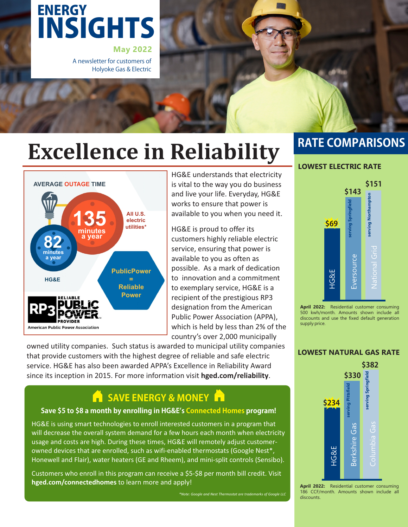# INSIGHTS **ENERGY**

**May 2022** A newsletter for customers of Holyoke Gas & Electric

# **Excellence in Reliability**



HG&E understands that electricity is vital to the way you do business and live your life. Everyday, HG&E works to ensure that power is available to you when you need it.

HG&E is proud to offer its customers highly reliable electric service, ensuring that power is available to you as often as possible. As a mark of dedication to innovation and a commitment to exemplary service, HG&E is a recipient of the prestigious RP3 designation from the American Public Power Association (APPA), which is held by less than 2% of the country's over 2,000 municipally

owned utility companies. Such status is awarded to municipal utility companies that provide customers with the highest degree of reliable and safe electric service. HG&E has also been awarded APPA's Excellence in Reliability Award since its inception in 2015. For more information visit **hged.com/reliability**.

### **SAVE ENERGY & MONEY**

#### Save \$5 to \$8 a month by enrolling in HG&E's Connected Homes program!

HG&E is using smart technologies to enroll interested customers in a program that will decrease the overall system demand for a few hours each month when electricity usage and costs are high. During these times, HG&E will remotely adjust customerowned devices that are enrolled, such as wifi-enabled thermostats (Google Nest\*, Honewell and Flair), water heaters (GE and Rheem), and mini-split controls (Sensibo).

Customers who enroll in this program can receive a \$5-\$8 per month bill credit. Visit **hged.com/connectedhomes** to learn more and apply!

*\*Note: Google and Nest Thermostat are trademarks of Google LLC*

### **RATE COMPARISONS**

#### **LOWEST ELECTRIC RATE**



**April 2022:** Residential customer consuming 500 kwh/month. Amounts shown include all discounts and use the fixed default generation supply price.

#### **LOWEST NATURAL GAS RATE**



**April 2022:** Residential customer consuming 186 CCF/month. Amounts shown include all discounts.